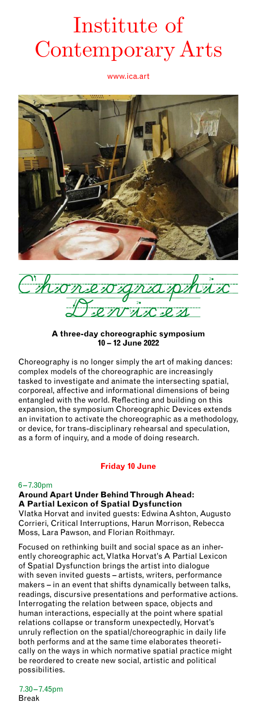# www.ica.art Institute of Contemporary Arts

www.ica.art



C'honevogra MMLCL2

**A three-day choreographic symposium 10 – 12 June 2022** 

Choreography is no longer simply the art of making dances: complex models of the choreographic are increasingly tasked to investigate and animate the intersecting spatial, corporeal, affective and informational dimensions of being entangled with the world. Reflecting and building on this expansion, the symposium Choreographic Devices extends an invitation to activate the choreographic as a methodology, or device, for trans-disciplinary rehearsal and speculation, as a form of inquiry, and a mode of doing research.

# **Friday 10 June**

#### 6 – 7.30pm

**Around Apart Under Behind Through Ahead: A Partial Lexicon of Spatial Dysfunction** 

Vlatka Horvat and invited guests: Edwina Ashton, Augusto Corrieri, Critical Interruptions, Harun Morrison, Rebecca Moss, Lara Pawson, and Florian Roithmayr.

Focused on rethinking built and social space as an inherently choreographic act, Vlatka Horvat's A Partial Lexicon of Spatial Dysfunction brings the artist into dialogue with seven invited guests – artists, writers, performance makers – in an event that shifts dynamically between talks, readings, discursive presentations and performative actions. Interrogating the relation between space, objects and human interactions, especially at the point where spatial relations collapse or transform unexpectedly, Horvat's unruly reflection on the spatial/choreographic in daily life both performs and at the same time elaborates theoretically on the ways in which normative spatial practice might be reordered to create new social, artistic and political possibilities.

7.30 –7.45pm Break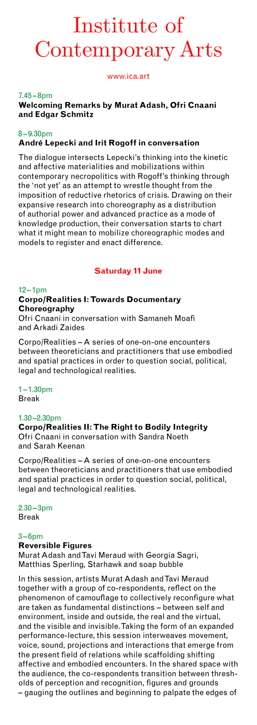# Institute of Contemporary Arts

www.ica.art

# 7.45 –8pm

**Welcoming Remarks by Murat Adash, Ofri Cnaani and Edgar Schmitz** 

# 8 – 9.30pm **André Lepecki and Irit Rogoff in conversation**

The dialogue intersects Lepecki's thinking into the kinetic and affective materialities and mobilizations within contemporary necropolitics with Rogoff's thinking through the 'not yet' as an attempt to wrestle thought from the imposition of reductive rhetorics of crisis. Drawing on their expansive research into choreography as a distribution of authorial power and advanced practice as a mode of knowledge production, their conversation starts to chart what it might mean to mobilize choreographic modes and models to register and enact difference.

# **Saturday 11 June**

# $12 - 1$ pm

# **Corpo/Realities I: Towards Documentary Choreography**

Ofri Cnaani in conversation with Samaneh Moafi and Arkadi Zaides

Corpo/Realities – A series of one-on-one encounters between theoreticians and practitioners that use embodied and spatial practices in order to question social, political, legal and technological realities.

# $1 - 1.30$ pm

Break

# 1.30 –2.30pm

**Corpo/Realities II: The Right to Bodily Integrity**  Ofri Cnaani in conversation with Sandra Noeth and Sarah Keenan

Corpo/Realities – A series of one-on-one encounters between theoreticians and practitioners that use embodied and spatial practices in order to question social, political, legal and technological realities.

 $2.30 - 3$ pm Break

# $3 - 6$ pm

# **Reversible Figures**

Murat Adash and Tavi Meraud with Georgia Sagri, Matthias Sperling, Starhawk and soap bubble

In this session, artists Murat Adash and Tavi Meraud together with a group of co-respondents, reflect on the phenomenon of camouflage to collectively reconfigure what are taken as fundamental distinctions – between self and environment, inside and outside, the real and the virtual, and the visible and invisible. Taking the form of an expanded performance-lecture, this session interweaves movement, voice, sound, projections and interactions that emerge from the present field of relations while scaffolding shifting affective and embodied encounters. In the shared space with the audience, the co-respondents transition between thresholds of perception and recognition, figures and grounds – gauging the outlines and beginning to palpate the edges of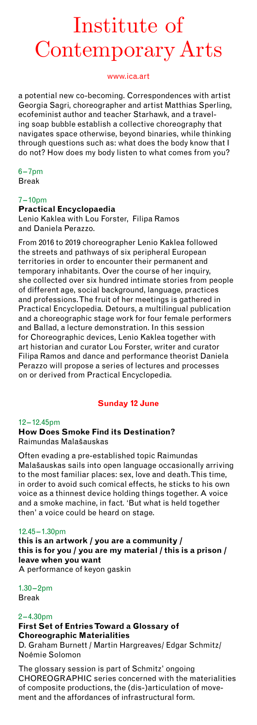# Institute of Contemporary Arts

# www.ica.art

a potential new co-becoming. Correspondences with artist Georgia Sagri, choreographer and artist Matthias Sperling, ecofeminist author and teacher Starhawk, and a traveling soap bubble establish a collective choreography that navigates space otherwise, beyond binaries, while thinking through questions such as: what does the body know that I do not? How does my body listen to what comes from you?

 $6 - 7$ pm Break

#### 7 – 10pm

# **Practical Encyclopaedia**

Lenio Kaklea with Lou Forster, Filipa Ramos and Daniela Perazzo.

From 2016 to 2019 choreographer Lenio Kaklea followed the streets and pathways of six peripheral European territories in order to encounter their permanent and temporary inhabitants. Over the course of her inquiry, she collected over six hundred intimate stories from people of different age, social background, language, practices and professions. The fruit of her meetings is gathered in Practical Encyclopedia. Detours, a multilingual publication and a choreographic stage work for four female performers and Ballad, a lecture demonstration. In this session for Choreographic devices, Lenio Kaklea together with art historian and curator Lou Forster, writer and curator Filipa Ramos and dance and performance theorist Daniela Perazzo will propose a series of lectures and processes on or derived from Practical Encyclopedia.

# **Sunday 12 June**

#### 12– 12.45pm **How Does Smoke Find its Destination?** Raimundas Malašauskas

Often evading a pre-established topic Raimundas Malašauskas sails into open language occasionally arriving to the most familiar places: sex, love and death. This time, in order to avoid such comical effects, he sticks to his own voice as a thinnest device holding things together. A voice and a smoke machine, in fact. 'But what is held together then' a voice could be heard on stage.

#### 12.45 –1.30pm

**this is an artwork / you are a community / this is for you / you are my material / this is a prison / leave when you want** A performance of keyon gaskin

 $1.30 - 2pm$ Break

# $2 - 4.30$ pm

#### **First Set of Entries Toward a Glossary of Choreographic Materialities**

D. Graham Burnett / Martin Hargreaves/ Edgar Schmitz/ Noémie Solomon

The glossary session is part of Schmitz' ongoing CHOREOGRAPHIC series concerned with the materialities of composite productions, the (dis-)articulation of movement and the affordances of infrastructural form.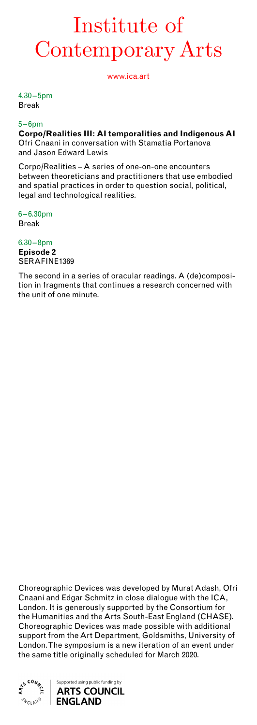# Institute of Contemporary Arts

www.ica.art

 $4.30 - 5$ pm Break

# $5 - 6$ pm

**Corpo/Realities III: AI temporalities and Indigenous AI**  Ofri Cnaani in conversation with Stamatia Portanova and Jason Edward Lewis

Corpo/Realities – A series of one-on-one encounters between theoreticians and practitioners that use embodied and spatial practices in order to question social, political, legal and technological realities.

6 – 6.30pm Break

#### 6.30 –8pm **Episode 2**  SERAFINE1369

The second in a series of oracular readings. A (de)composition in fragments that continues a research concerned with the unit of one minute.

Choreographic Devices was developed by Murat Adash, Ofri Cnaani and Edgar Schmitz in close dialogue with the ICA, London. It is generously supported by the Consortium for the Humanities and the Arts South-East England (CHASE). Choreographic Devices was made possible with additional support from the Art Department, Goldsmiths, University of London. The symposium is a new iteration of an event under the same title originally scheduled for March 2020.

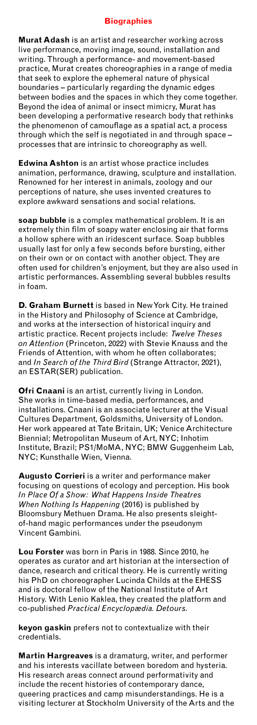# **Biographies**

**Murat Adash** is an artist and researcher working across live performance, moving image, sound, installation and writing. Through a performance- and movement-based practice, Murat creates choreographies in a range of media that seek to explore the ephemeral nature of physical boundaries – particularly regarding the dynamic edges between bodies and the spaces in which they come together. Beyond the idea of animal or insect mimicry, Murat has been developing a performative research body that rethinks the phenomenon of camouflage as a spatial act, a process through which the self is negotiated in and through space – processes that are intrinsic to choreography as well.

**Edwina Ashton** is an artist whose practice includes animation, performance, drawing, sculpture and installation. Renowned for her interest in animals, zoology and our perceptions of nature, she uses invented creatures to explore awkward sensations and social relations.

**soap bubble** is a complex mathematical problem. It is an extremely thin film of soapy water enclosing air that forms a hollow sphere with an iridescent surface. Soap bubbles usually last for only a few seconds before bursting, either on their own or on contact with another object. They are often used for children's enjoyment, but they are also used in artistic performances. Assembling several bubbles results in foam.

**D. Graham Burnett** is based in New York City. He trained in the History and Philosophy of Science at Cambridge, and works at the intersection of historical inquiry and artistic practice. Recent projects include: *Twelve Theses on Attention* (Princeton, 2022) with Stevie Knauss and the Friends of Attention, with whom he often collaborates; and *In Search of the Third Bird* (Strange Attractor, 2021), an ESTAR(SER) publication.

**Ofri Cnaani** is an artist, currently living in London. She works in time-based media, performances, and installations. Cnaani is an associate lecturer at the Visual Cultures Department, Goldsmiths, University of London. Her work appeared at Tate Britain, UK; Venice Architecture Biennial; Metropolitan Museum of Art, NYC; Inhotim Institute, Brazil; PS1/MoMA, NYC; BMW Guggenheim Lab, NYC; Kunsthalle Wien, Vienna.

**Augusto Corrieri** is a writer and performance maker focusing on questions of ecology and perception. His book *In Place Of a Show: What Happens Inside Theatres When Nothing Is Happening* (2016) is published by Bloomsbury Methuen Drama. He also presents sleightof-hand magic performances under the pseudonym Vincent Gambini.

**Lou Forster** was born in Paris in 1988. Since 2010, he operates as curator and art historian at the intersection of dance, research and critical theory. He is currently writing his PhD on choreographer Lucinda Childs at the EHESS and is doctoral fellow of the National Institute of Art History. With Lenio Kaklea, they created the platform and co-published *Practical Encyclopædia. Detours.* 

**keyon gaskin** prefers not to contextualize with their credentials.

**Martin Hargreaves** is a dramaturg, writer, and performer and his interests vacillate between boredom and hysteria. His research areas connect around performativity and include the recent histories of contemporary dance, queering practices and camp misunderstandings. He is a visiting lecturer at Stockholm University of the Arts and the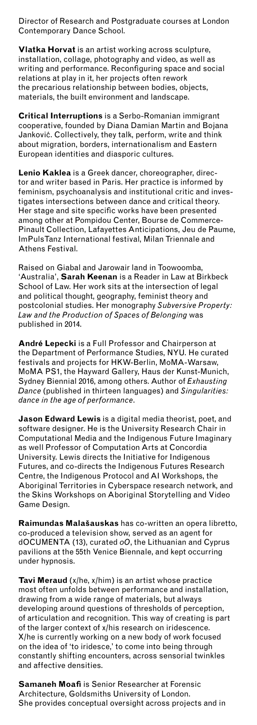Contemporary Dance School. Director of Research and Postgraduate courses at London

**Vlatka Horvat** is an artist working across sculpture, installation, collage, photography and video, as well as writing and performance. Reconfiguring space and social relations at play in it, her projects often rework the precarious relationship between bodies, objects, materials, the built environment and landscape.

**Critical Interruptions** is a Serbo-Romanian immigrant cooperative, founded by Diana Damian Martin and Bojana Janković. Collectively, they talk, perform, write and think about migration, borders, internationalism and Eastern European identities and diasporic cultures.

**Lenio Kaklea** is a Greek dancer, choreographer, director and writer based in Paris. Her practice is informed by feminism, psychoanalysis and institutional critic and investigates intersections between dance and critical theory. Her stage and site specific works have been presented among other at Pompidou Center, Bourse de Commerce-Pinault Collection, Lafayettes Anticipations, Jeu de Paume, ImPulsTanz International festival, Milan Triennale and Athens Festival.

Raised on Giabal and Jarowair land in Toowoomba, 'Australia', **Sarah Keenan** is a Reader in Law at Birkbeck School of Law. Her work sits at the intersection of legal and political thought, geography, feminist theory and postcolonial studies. Her monography *Subversive Property: Law and the Production of Spaces of Belonging* was published in 2014.

**André Lepecki** is a Full Professor and Chairperson at the Department of Performance Studies, NYU. He curated festivals and projects for HKW-Berlin, MoMA-Warsaw, MoMA PS1, the Hayward Gallery, Haus der Kunst-Munich, Sydney Biennial 2016, among others. Author of *Exhausting Dance* (published in thirteen languages) and *Singularities: dance in the age of performance*.

**Jason Edward Lewis** is a digital media theorist, poet, and software designer. He is the University Research Chair in Computational Media and the Indigenous Future Imaginary as well Professor of Computation Arts at Concordia University. Lewis directs the Initiative for Indigenous Futures, and co-directs the Indigenous Futures Research Centre, the Indigenous Protocol and AI Workshops, the Aboriginal Territories in Cyberspace research network, and the Skins Workshops on Aboriginal Storytelling and Video Game Design.

**Raimundas Malašauskas** has co-written an opera libretto, co-produced a television show, served as an agent for dOCUMENTA (13), curated *oO*, the Lithuanian and Cyprus pavilions at the 55th Venice Biennale, and kept occurring under hypnosis.

**Tavi Meraud** (x/he, x/him) is an artist whose practice most often unfolds between performance and installation, drawing from a wide range of materials, but always developing around questions of thresholds of perception, of articulation and recognition. This way of creating is part of the larger context of x/his research on iridescence. X/he is currently working on a new body of work focused on the idea of 'to iridesce,' to come into being through constantly shifting encounters, across sensorial twinkles and affective densities.

**Samaneh Moafi** is Senior Researcher at Forensic Architecture, Goldsmiths University of London. She provides conceptual oversight across projects and in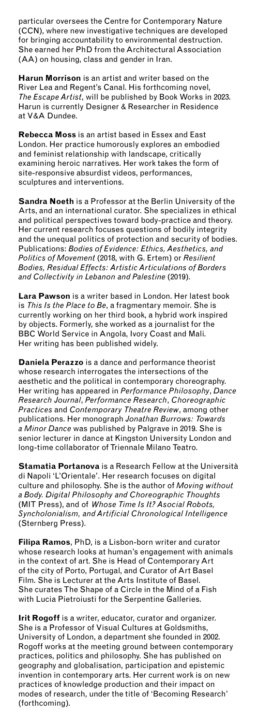CCN), where new investigative techniques are developed particular oversees the Centre for Contemporary Nature for bringing accountability to environmental destruction. She earned her PhD from the Architectural Association (AA) on housing, class and gender in Iran.

**Harun Morrison** is an artist and writer based on the River Lea and Regent's Canal. His forthcoming novel, *The Escape Artist*, will be published by Book Works in 2023. Harun is currently Designer & Researcher in Residence at V&A Dundee.

**Rebecca Moss** is an artist based in Essex and East London. Her practice humorously explores an embodied and feminist relationship with landscape, critically examining heroic narratives. Her work takes the form of site-responsive absurdist videos, performances, sculptures and interventions.

**Sandra Noeth** is a Professor at the Berlin University of the Arts, and an international curator. She specializes in ethical and political perspectives toward body-practice and theory. Her current research focuses questions of bodily integrity and the unequal politics of protection and security of bodies. Publications: *Bodies of Evidence: Ethics, Aesthetics, and Politics of Movement* (2018, with G. Ertem) or *Resilient Bodies, Residual Effects: Artistic Articulations of Borders and Collectivity in Lebanon and Palestine* (2019).

**Lara Pawson** is a writer based in London. Her latest book is *This Is the Place to Be*, a fragmentary memoir. She is currently working on her third book, a hybrid work inspired by objects. Formerly, she worked as a journalist for the BBC World Service in Angola, Ivory Coast and Mali. Her writing has been published widely.

**Daniela Perazzo** is a dance and performance theorist whose research interrogates the intersections of the aesthetic and the political in contemporary choreography. Her writing has appeared in *Performance Philosophy*, *Dance Research Journal*, *Performance Research*, *Choreographic Practices* and *Contemporary Theatre Review*, among other publications. Her monograph *Jonathan Burrows: Towards a Minor Dance* was published by Palgrave in 2019. She is senior lecturer in dance at Kingston University London and long-time collaborator of Triennale Milano Teatro.

**Stamatia Portanova** is a Research Fellow at the Università di Napoli 'L'Orientale'. Her research focuses on digital culture and philosophy. She is the author of *Moving without a Body. Digital Philosophy and Choreographic Thoughts* (MIT Press), and of *Whose Time Is It? Asocial Robots, Syncholonialism, and Artificial Chronological Intelligence*  (Sternberg Press).

**Filipa Ramos**, PhD, is a Lisbon-born writer and curator whose research looks at human's engagement with animals in the context of art. She is Head of Contemporary Art of the city of Porto, Portugal, and Curator of Art Basel Film. She is Lecturer at the Arts Institute of Basel. She curates The Shape of a Circle in the Mind of a Fish with Lucia Pietroiusti for the Serpentine Galleries.

**Irit Rogoff** is a writer, educator, curator and organizer. She is a Professor of Visual Cultures at Goldsmiths, University of London, a department she founded in 2002. Rogoff works at the meeting ground between contemporary practices, politics and philosophy. She has published on geography and globalisation, participation and epistemic invention in contemporary arts. Her current work is on new practices of knowledge production and their impact on modes of research, under the title of 'Becoming Research' (forthcoming).